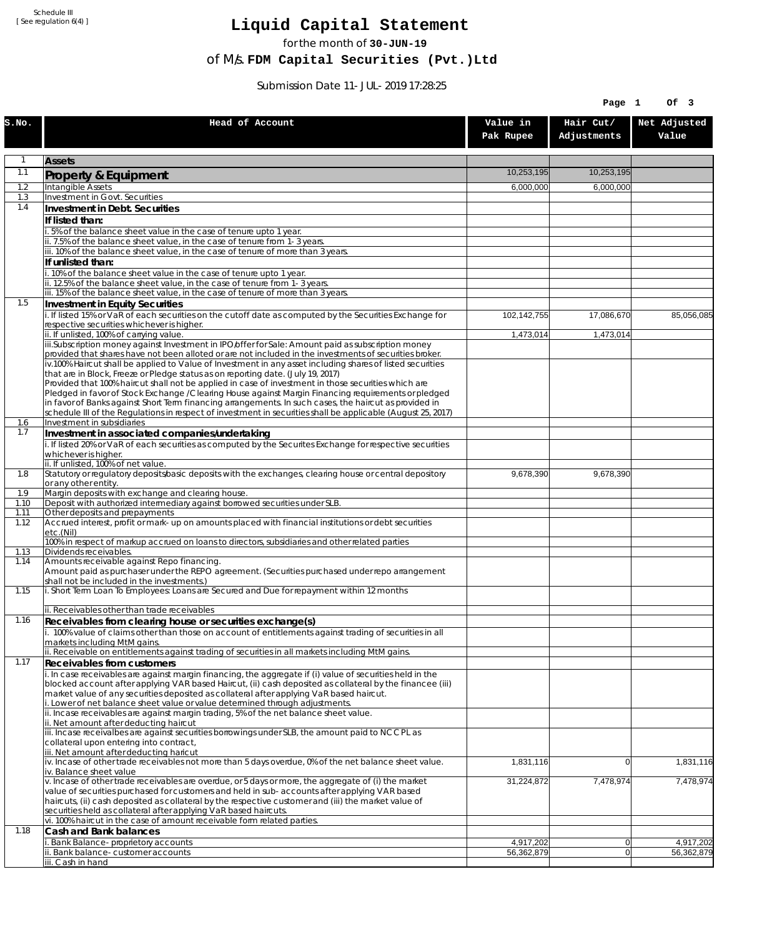Schedule III [ See regulation 6(4) ]

## **Liquid Capital Statement**

for the month of **30-JUN-19**

of M/s. **FDM Capital Securities (Pvt.)Ltd**

Submission Date 11-JUL-2019 17:28:25

|              |                                                                                                                                                                                                                        |                         | Page 1                   | Of 3                    |
|--------------|------------------------------------------------------------------------------------------------------------------------------------------------------------------------------------------------------------------------|-------------------------|--------------------------|-------------------------|
| S.NO.        | Head of Account                                                                                                                                                                                                        | Value in<br>Pak Rupee   | Hair Cut/<br>Adjustments | Net Adjusted<br>Value   |
| 1            | <b>Assets</b>                                                                                                                                                                                                          |                         |                          |                         |
| 1.1          | Property & Equipment                                                                                                                                                                                                   | 10,253,195              | 10,253,195               |                         |
| 1.2          | Intangible Assets                                                                                                                                                                                                      | 6,000,000               | 6,000,000                |                         |
| 1.3<br>1.4   | Investment in Govt. Securities<br>Investment in Debt. Securities                                                                                                                                                       |                         |                          |                         |
|              | If listed than:                                                                                                                                                                                                        |                         |                          |                         |
|              | i. 5% of the balance sheet value in the case of tenure upto 1 year.                                                                                                                                                    |                         |                          |                         |
|              | ii. 7.5% of the balance sheet value, in the case of tenure from 1-3 years.<br>iii. 10% of the balance sheet value, in the case of tenure of more than 3 years.                                                         |                         |                          |                         |
|              | If unlisted than:                                                                                                                                                                                                      |                         |                          |                         |
|              | i. 10% of the balance sheet value in the case of tenure upto 1 year.                                                                                                                                                   |                         |                          |                         |
|              | ii. 12.5% of the balance sheet value, in the case of tenure from 1-3 years.<br>iii. 15% of the balance sheet value, in the case of tenure of more than 3 years.                                                        |                         |                          |                         |
| 1.5          | Investment in Equity Securities                                                                                                                                                                                        |                         |                          |                         |
|              | i. If listed 15% or VaR of each securities on the cutoff date as computed by the Securities Exchange for                                                                                                               | 102,142,755             | 17,086,670               | 85,056,085              |
|              | respective securities whichever is higher.                                                                                                                                                                             |                         |                          |                         |
|              | ii. If unlisted, 100% of carrying value.<br>iii.Subscription money against Investment in IPO/offer for Sale: Amount paid as subscription money                                                                         | 1,473,014               | 1,473,014                |                         |
|              | provided that shares have not been alloted or are not included in the investments of securities broker.                                                                                                                |                         |                          |                         |
|              | iv.100% Haircut shall be applied to Value of Investment in any asset including shares of listed securities<br>that are in Block, Freeze or Pledge status as on reporting date. (July 19, 2017)                         |                         |                          |                         |
|              | Provided that 100% haircut shall not be applied in case of investment in those securities which are                                                                                                                    |                         |                          |                         |
|              | Pledged in favor of Stock Exchange / Clearing House against Margin Financing requirements or pledged                                                                                                                   |                         |                          |                         |
|              | in favor of Banks against Short Term financing arrangements. In such cases, the haircut as provided in<br>schedule III of the Regulations in respect of investment in securities shall be applicable (August 25, 2017) |                         |                          |                         |
| 1.6          | Investment in subsidiaries                                                                                                                                                                                             |                         |                          |                         |
| 1.7          | Investment in associated companies/undertaking<br>i. If listed 20% or VaR of each securities as computed by the Securites Exchange for respective securities                                                           |                         |                          |                         |
|              | whichever is higher.                                                                                                                                                                                                   |                         |                          |                         |
|              | ii. If unlisted, 100% of net value.                                                                                                                                                                                    |                         |                          |                         |
| 1.8          | Statutory or regulatory deposits/basic deposits with the exchanges, clearing house or central depository<br>or any other entity.                                                                                       | 9,678,390               | 9,678,390                |                         |
| 1.9          | Margin deposits with exchange and clearing house.                                                                                                                                                                      |                         |                          |                         |
| 1.10<br>1.11 | Deposit with authorized intermediary against borrowed securities under SLB.<br>Other deposits and prepayments                                                                                                          |                         |                          |                         |
| 1.12         | Accrued interest, profit or mark-up on amounts placed with financial institutions or debt securities                                                                                                                   |                         |                          |                         |
|              | etc.(Nil)<br>100% in respect of markup accrued on loans to directors, subsidiaries and other related parties                                                                                                           |                         |                          |                         |
| 1.13         | Dividends receivables.                                                                                                                                                                                                 |                         |                          |                         |
| 1.14         | Amounts receivable against Repo financing.<br>Amount paid as purchaser under the REPO agreement. (Securities purchased under repo arrangement                                                                          |                         |                          |                         |
|              | shall not be included in the investments.)                                                                                                                                                                             |                         |                          |                         |
| 1.15         | i. Short Term Loan To Employees: Loans are Secured and Due for repayment within 12 months                                                                                                                              |                         |                          |                         |
|              | ii. Receivables other than trade receivables                                                                                                                                                                           |                         |                          |                         |
| 1.16         | Receivables from clearing house or securities exchange(s)<br>i. 100% value of claims other than those on account of entitlements against trading of securities in all                                                  |                         |                          |                         |
|              | markets including MtM gains.                                                                                                                                                                                           |                         |                          |                         |
|              | ii. Receivable on entitlements against trading of securities in all markets including MtM gains.                                                                                                                       |                         |                          |                         |
| 1.17         | <b>Receivables from customers</b><br>i. In case receivables are against margin financing, the aggregate if (i) value of securities held in the                                                                         |                         |                          |                         |
|              | blocked account after applying VAR based Haircut, (ii) cash deposited as collateral by the financee (iii)                                                                                                              |                         |                          |                         |
|              | market value of any securities deposited as collateral after applying VaR based haircut.                                                                                                                               |                         |                          |                         |
|              | i. Lower of net balance sheet value or value determined through adjustments.<br>ii. Incase receivables are against margin trading, 5% of the net balance sheet value.                                                  |                         |                          |                         |
|              | ii. Net amount after deducting haircut                                                                                                                                                                                 |                         |                          |                         |
|              | iii. Incase receivalbes are against securities borrowings under SLB, the amount paid to NCCPL as<br>collateral upon entering into contract,                                                                            |                         |                          |                         |
|              | iii. Net amount after deducting haricut                                                                                                                                                                                |                         |                          |                         |
|              | $iv.$ Incase of other trade receivables not more than 5 days overdue, 0% of the net balance sheet value.<br>iv. Balance sheet value                                                                                    | 1,831,116               | $\overline{0}$           | 1,831,116               |
|              | v. Incase of other trade receivables are overdue, or 5 days or more, the aggregate of (i) the market                                                                                                                   | 31,224,872              | 7,478,974                | 7,478,974               |
|              | value of securities purchased for customers and held in sub-accounts after applying VAR based                                                                                                                          |                         |                          |                         |
|              | haircuts, (ii) cash deposited as collateral by the respective customer and (iii) the market value of<br>securities held as collateral after applying VaR based haircuts.                                               |                         |                          |                         |
|              | vi. 100% haircut in the case of amount receivable form related parties.                                                                                                                                                |                         |                          |                         |
| 1.18         | Cash and Bank balances                                                                                                                                                                                                 |                         |                          |                         |
|              | i. Bank Balance-proprietory accounts<br>ii. Bank balance-customer accounts                                                                                                                                             | 4,917,202<br>56,362,879 | 0 <br> 0                 | 4,917,202<br>56,362,879 |
|              | iii. Cash in hand                                                                                                                                                                                                      |                         |                          |                         |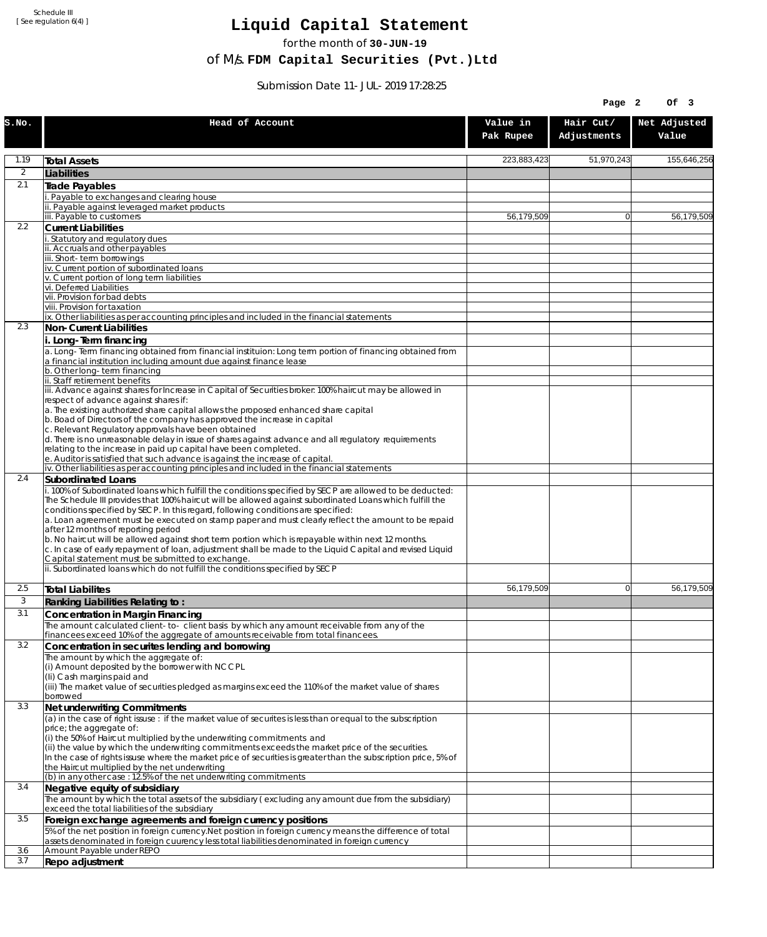Schedule III [ See regulation 6(4) ]

## **Liquid Capital Statement**

for the month of **30-JUN-19**

of M/s. **FDM Capital Securities (Pvt.)Ltd**

Submission Date 11-JUL-2019 17:28:25

|                |                                                                                                                                                                                                                                                                                                                                                                                                                                                                                                                                                                                                                                                                                                                                                                                                             |                       | Page 2                   | Of 3                  |
|----------------|-------------------------------------------------------------------------------------------------------------------------------------------------------------------------------------------------------------------------------------------------------------------------------------------------------------------------------------------------------------------------------------------------------------------------------------------------------------------------------------------------------------------------------------------------------------------------------------------------------------------------------------------------------------------------------------------------------------------------------------------------------------------------------------------------------------|-----------------------|--------------------------|-----------------------|
| S.NO.          | Head of Account                                                                                                                                                                                                                                                                                                                                                                                                                                                                                                                                                                                                                                                                                                                                                                                             | Value in<br>Pak Rupee | Hair Cut/<br>Adjustments | Net Adjusted<br>Value |
| 1.19           | <b>Total Assets</b>                                                                                                                                                                                                                                                                                                                                                                                                                                                                                                                                                                                                                                                                                                                                                                                         | 223,883,423           | 51,970,243               | 155,646,256           |
| $\overline{2}$ | Liabilities                                                                                                                                                                                                                                                                                                                                                                                                                                                                                                                                                                                                                                                                                                                                                                                                 |                       |                          |                       |
| 2.1            | Trade Payables                                                                                                                                                                                                                                                                                                                                                                                                                                                                                                                                                                                                                                                                                                                                                                                              |                       |                          |                       |
|                | Payable to exchanges and clearing house<br>. Payable against leveraged market products                                                                                                                                                                                                                                                                                                                                                                                                                                                                                                                                                                                                                                                                                                                      |                       |                          |                       |
|                | iii. Payable to customers                                                                                                                                                                                                                                                                                                                                                                                                                                                                                                                                                                                                                                                                                                                                                                                   | 56,179,509            | $\overline{0}$           | 56,179,509            |
| 2.2            | <b>Current Liabilities</b>                                                                                                                                                                                                                                                                                                                                                                                                                                                                                                                                                                                                                                                                                                                                                                                  |                       |                          |                       |
|                | Statutory and regulatory dues<br>ii. Accruals and other payables                                                                                                                                                                                                                                                                                                                                                                                                                                                                                                                                                                                                                                                                                                                                            |                       |                          |                       |
|                | ii. Short-term borrowings                                                                                                                                                                                                                                                                                                                                                                                                                                                                                                                                                                                                                                                                                                                                                                                   |                       |                          |                       |
|                | iv. Current portion of subordinated loans                                                                                                                                                                                                                                                                                                                                                                                                                                                                                                                                                                                                                                                                                                                                                                   |                       |                          |                       |
|                | v. Current portion of long term liabilities<br>vi. Deferred Liabilities                                                                                                                                                                                                                                                                                                                                                                                                                                                                                                                                                                                                                                                                                                                                     |                       |                          |                       |
|                | vii. Provision for bad debts                                                                                                                                                                                                                                                                                                                                                                                                                                                                                                                                                                                                                                                                                                                                                                                |                       |                          |                       |
|                | viii. Provision for taxation                                                                                                                                                                                                                                                                                                                                                                                                                                                                                                                                                                                                                                                                                                                                                                                |                       |                          |                       |
| 2.3            | ix. Other liabilities as per accounting principles and included in the financial statements<br>Non-Current Liabilities                                                                                                                                                                                                                                                                                                                                                                                                                                                                                                                                                                                                                                                                                      |                       |                          |                       |
|                | i. Long-Term financing                                                                                                                                                                                                                                                                                                                                                                                                                                                                                                                                                                                                                                                                                                                                                                                      |                       |                          |                       |
|                | a. Long-Term financing obtained from financial instituion: Long term portion of financing obtained from<br>a financial institution including amount due against finance lease                                                                                                                                                                                                                                                                                                                                                                                                                                                                                                                                                                                                                               |                       |                          |                       |
|                | b. Other long-term financing<br>ii. Staff retirement benefits                                                                                                                                                                                                                                                                                                                                                                                                                                                                                                                                                                                                                                                                                                                                               |                       |                          |                       |
|                | iii. Advance against shares for Increase in Capital of Securities broker: 100% haircut may be allowed in<br>respect of advance against shares if:                                                                                                                                                                                                                                                                                                                                                                                                                                                                                                                                                                                                                                                           |                       |                          |                       |
|                | a. The existing authorized share capital allows the proposed enhanced share capital<br>b. Boad of Directors of the company has approved the increase in capital                                                                                                                                                                                                                                                                                                                                                                                                                                                                                                                                                                                                                                             |                       |                          |                       |
|                | c. Relevant Regulatory approvals have been obtained<br>d. There is no unreasonable delay in issue of shares against advance and all regulatory requirements<br>relating to the increase in paid up capital have been completed.                                                                                                                                                                                                                                                                                                                                                                                                                                                                                                                                                                             |                       |                          |                       |
|                | e. Auditor is satisfied that such advance is against the increase of capital.                                                                                                                                                                                                                                                                                                                                                                                                                                                                                                                                                                                                                                                                                                                               |                       |                          |                       |
| 2.4            | iv. Other liabilities as per accounting principles and included in the financial statements<br>Subordinated Loans                                                                                                                                                                                                                                                                                                                                                                                                                                                                                                                                                                                                                                                                                           |                       |                          |                       |
|                | . 100% of Subordinated loans which fulfill the conditions specified by SECP are allowed to be deducted:<br>The Schedule III provides that 100% haircut will be allowed against subordinated Loans which fulfill the<br>conditions specified by SECP. In this regard, following conditions are specified:<br>a. Loan agreement must be executed on stamp paper and must clearly reflect the amount to be repaid<br>after 12 months of reporting period<br>b. No haircut will be allowed against short term portion which is repayable within next 12 months.<br>c. In case of early repayment of loan, adjustment shall be made to the Liquid Capital and revised Liquid<br>Capital statement must be submitted to exchange.<br>ii. Subordinated loans which do not fulfill the conditions specified by SECP |                       |                          |                       |
| 2.5            |                                                                                                                                                                                                                                                                                                                                                                                                                                                                                                                                                                                                                                                                                                                                                                                                             | 56,179,509            | $\mathbf{0}$             | 56.179.509            |
| 3              | <b>Total Liabilites</b><br>Ranking Liabilities Relating to:                                                                                                                                                                                                                                                                                                                                                                                                                                                                                                                                                                                                                                                                                                                                                 |                       |                          |                       |
| 3.1            | Concentration in Margin Financing                                                                                                                                                                                                                                                                                                                                                                                                                                                                                                                                                                                                                                                                                                                                                                           |                       |                          |                       |
|                | The amount calculated client-to- client basis by which any amount receivable from any of the                                                                                                                                                                                                                                                                                                                                                                                                                                                                                                                                                                                                                                                                                                                |                       |                          |                       |
|                | financees exceed 10% of the aggregate of amounts receivable from total financees.                                                                                                                                                                                                                                                                                                                                                                                                                                                                                                                                                                                                                                                                                                                           |                       |                          |                       |
| 3.2            | Concentration in securites lending and borrowing                                                                                                                                                                                                                                                                                                                                                                                                                                                                                                                                                                                                                                                                                                                                                            |                       |                          |                       |
|                | The amount by which the aggregate of:<br>(i) Amount deposited by the borrower with NCCPL                                                                                                                                                                                                                                                                                                                                                                                                                                                                                                                                                                                                                                                                                                                    |                       |                          |                       |
|                | (Ii) Cash margins paid and<br>(iii) The market value of securities pledged as margins exceed the 110% of the market value of shares                                                                                                                                                                                                                                                                                                                                                                                                                                                                                                                                                                                                                                                                         |                       |                          |                       |
|                | borrowed                                                                                                                                                                                                                                                                                                                                                                                                                                                                                                                                                                                                                                                                                                                                                                                                    |                       |                          |                       |
| 3.3            | Net underwriting Commitments                                                                                                                                                                                                                                                                                                                                                                                                                                                                                                                                                                                                                                                                                                                                                                                |                       |                          |                       |
|                | (a) in the case of right issuse: if the market value of securites is less than or equal to the subscription<br>price; the aggregate of:                                                                                                                                                                                                                                                                                                                                                                                                                                                                                                                                                                                                                                                                     |                       |                          |                       |
|                | (i) the 50% of Haircut multiplied by the underwriting commitments and                                                                                                                                                                                                                                                                                                                                                                                                                                                                                                                                                                                                                                                                                                                                       |                       |                          |                       |
|                | (ii) the value by which the underwriting commitments exceeds the market price of the securities.<br>In the case of rights issuse where the market price of securities is greater than the subscription price, 5% of                                                                                                                                                                                                                                                                                                                                                                                                                                                                                                                                                                                         |                       |                          |                       |
|                | the Haircut multiplied by the net underwriting                                                                                                                                                                                                                                                                                                                                                                                                                                                                                                                                                                                                                                                                                                                                                              |                       |                          |                       |
|                | (b) in any other case: 12.5% of the net underwriting commitments                                                                                                                                                                                                                                                                                                                                                                                                                                                                                                                                                                                                                                                                                                                                            |                       |                          |                       |
| 3.4            | Negative equity of subsidiary                                                                                                                                                                                                                                                                                                                                                                                                                                                                                                                                                                                                                                                                                                                                                                               |                       |                          |                       |
| 3.5            | The amount by which the total assets of the subsidiary (excluding any amount due from the subsidiary)<br>exceed the total liabilities of the subsidiary<br>Foreign exchange agreements and foreign currency positions                                                                                                                                                                                                                                                                                                                                                                                                                                                                                                                                                                                       |                       |                          |                       |
|                | 5% of the net position in foreign currency. Net position in foreign currency means the difference of total                                                                                                                                                                                                                                                                                                                                                                                                                                                                                                                                                                                                                                                                                                  |                       |                          |                       |
|                | assets denominated in foreign cuurency less total liabilities denominated in foreign currency                                                                                                                                                                                                                                                                                                                                                                                                                                                                                                                                                                                                                                                                                                               |                       |                          |                       |
| 3.6<br>3.7     | Amount Payable under REPO<br>Repo adjustment                                                                                                                                                                                                                                                                                                                                                                                                                                                                                                                                                                                                                                                                                                                                                                |                       |                          |                       |
|                |                                                                                                                                                                                                                                                                                                                                                                                                                                                                                                                                                                                                                                                                                                                                                                                                             |                       |                          |                       |